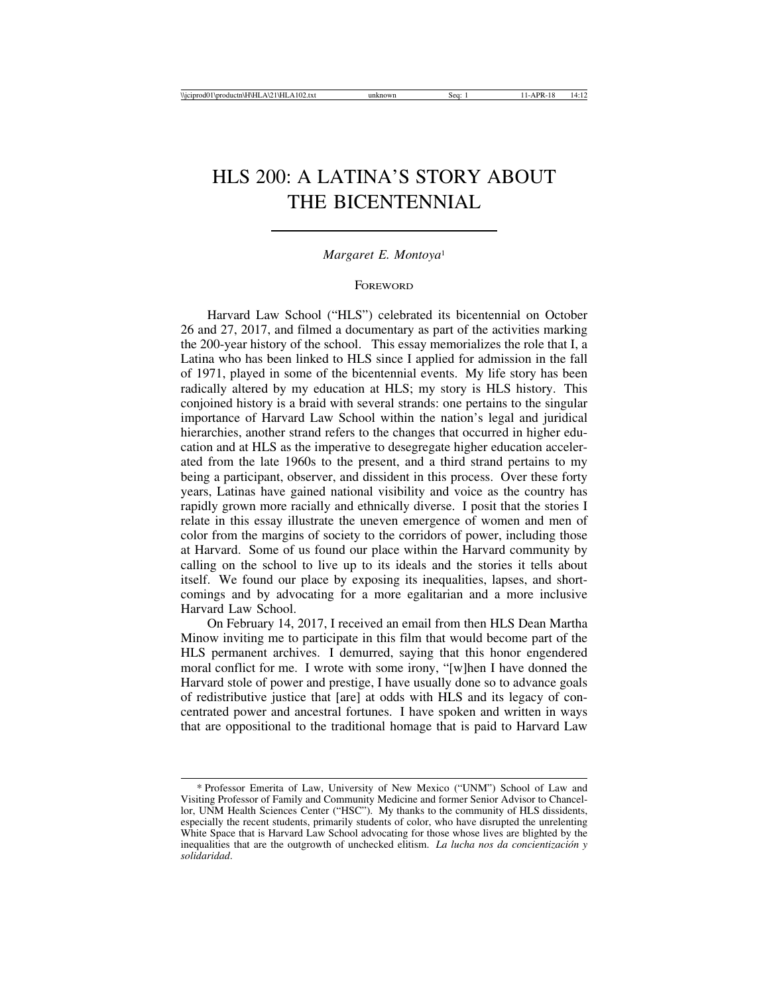# HLS 200: A LATINA'S STORY ABOUT THE BICENTENNIAL

*Margaret E. Montoya*<sup>1</sup>

**FOREWORD** 

Harvard Law School ("HLS") celebrated its bicentennial on October 26 and 27, 2017, and filmed a documentary as part of the activities marking the 200-year history of the school. This essay memorializes the role that I, a Latina who has been linked to HLS since I applied for admission in the fall of 1971, played in some of the bicentennial events. My life story has been radically altered by my education at HLS; my story is HLS history. This conjoined history is a braid with several strands: one pertains to the singular importance of Harvard Law School within the nation's legal and juridical hierarchies, another strand refers to the changes that occurred in higher education and at HLS as the imperative to desegregate higher education accelerated from the late 1960s to the present, and a third strand pertains to my being a participant, observer, and dissident in this process. Over these forty years, Latinas have gained national visibility and voice as the country has rapidly grown more racially and ethnically diverse. I posit that the stories I relate in this essay illustrate the uneven emergence of women and men of color from the margins of society to the corridors of power, including those at Harvard. Some of us found our place within the Harvard community by calling on the school to live up to its ideals and the stories it tells about itself. We found our place by exposing its inequalities, lapses, and shortcomings and by advocating for a more egalitarian and a more inclusive Harvard Law School.

On February 14, 2017, I received an email from then HLS Dean Martha Minow inviting me to participate in this film that would become part of the HLS permanent archives. I demurred, saying that this honor engendered moral conflict for me. I wrote with some irony, "[w]hen I have donned the Harvard stole of power and prestige, I have usually done so to advance goals of redistributive justice that [are] at odds with HLS and its legacy of concentrated power and ancestral fortunes. I have spoken and written in ways that are oppositional to the traditional homage that is paid to Harvard Law

<sup>\*</sup> Professor Emerita of Law, University of New Mexico ("UNM") School of Law and Visiting Professor of Family and Community Medicine and former Senior Advisor to Chancellor, UNM Health Sciences Center ("HSC"). My thanks to the community of HLS dissidents, especially the recent students, primarily students of color, who have disrupted the unrelenting White Space that is Harvard Law School advocating for those whose lives are blighted by the inequalities that are the outgrowth of unchecked elitism. *La lucha nos da concientización y solidaridad*.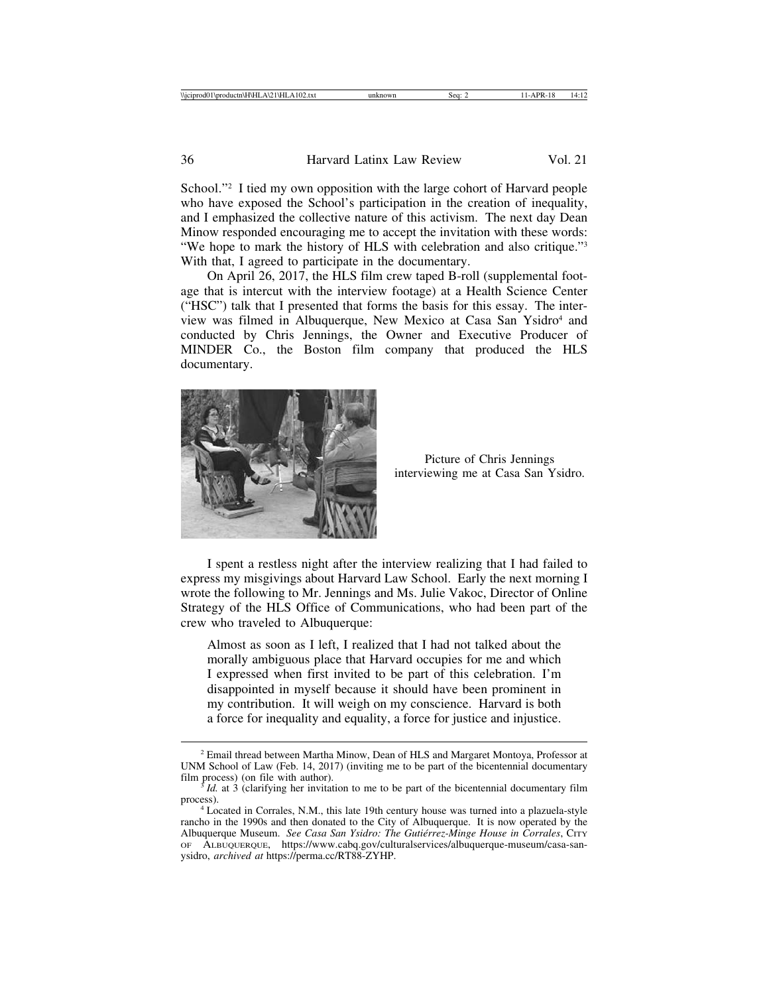School."<sup>2</sup> I tied my own opposition with the large cohort of Harvard people who have exposed the School's participation in the creation of inequality, and I emphasized the collective nature of this activism. The next day Dean Minow responded encouraging me to accept the invitation with these words: "We hope to mark the history of HLS with celebration and also critique."3 With that, I agreed to participate in the documentary.

On April 26, 2017, the HLS film crew taped B-roll (supplemental footage that is intercut with the interview footage) at a Health Science Center ("HSC") talk that I presented that forms the basis for this essay. The interview was filmed in Albuquerque, New Mexico at Casa San Ysidro4 and conducted by Chris Jennings, the Owner and Executive Producer of MINDER Co., the Boston film company that produced the HLS documentary.



Picture of Chris Jennings interviewing me at Casa San Ysidro.

I spent a restless night after the interview realizing that I had failed to express my misgivings about Harvard Law School. Early the next morning I wrote the following to Mr. Jennings and Ms. Julie Vakoc, Director of Online Strategy of the HLS Office of Communications, who had been part of the crew who traveled to Albuquerque:

Almost as soon as I left, I realized that I had not talked about the morally ambiguous place that Harvard occupies for me and which I expressed when first invited to be part of this celebration. I'm disappointed in myself because it should have been prominent in my contribution. It will weigh on my conscience. Harvard is both a force for inequality and equality, a force for justice and injustice.

<sup>2</sup> Email thread between Martha Minow, Dean of HLS and Margaret Montoya, Professor at UNM School of Law (Feb. 14, 2017) (inviting me to be part of the bicentennial documentary film process) (on file with author).<br><sup>3</sup> *Id.* at 3 (clarifying her invitation to me to be part of the bicentennial documentary film

process). <sup>4</sup> Located in Corrales, N.M., this late 19th century house was turned into a plazuela-style

rancho in the 1990s and then donated to the City of Albuquerque. It is now operated by the Albuquerque Museum. *See Casa San Ysidro: The Gutiérrez-Minge House in Corrales*, CITY OF ALBUQUERQUE, https://www.cabq.gov/culturalservices/albuquerque-museum/casa-sanysidro, *archived at* https://perma.cc/RT88-ZYHP.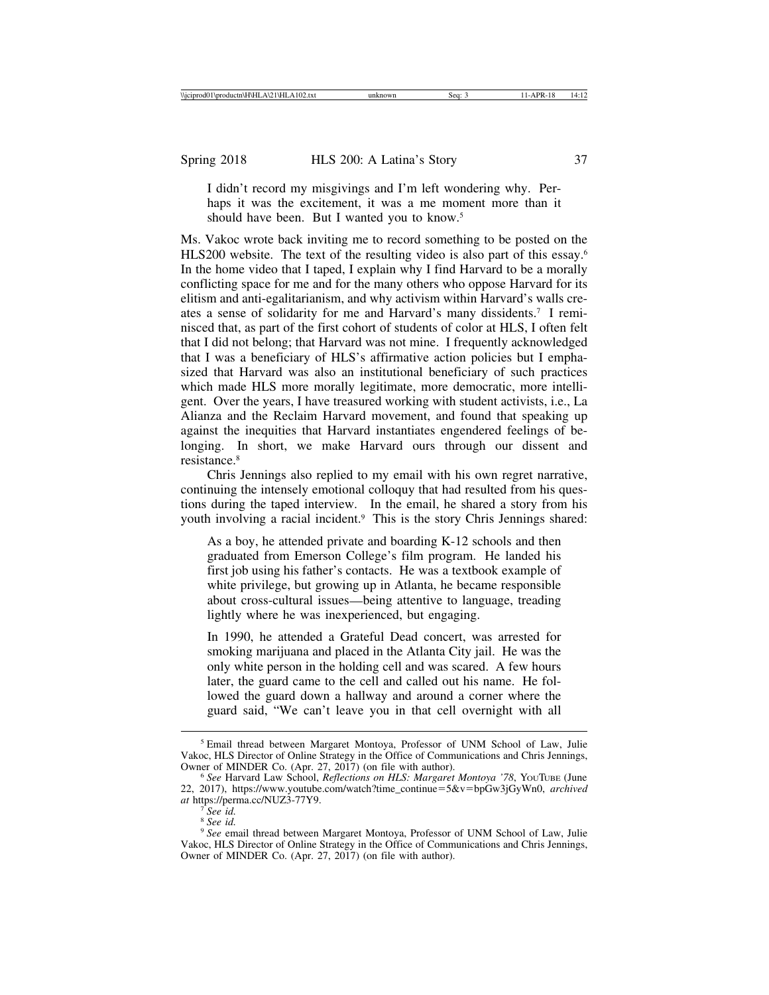I didn't record my misgivings and I'm left wondering why. Perhaps it was the excitement, it was a me moment more than it should have been. But I wanted you to know.<sup>5</sup>

Ms. Vakoc wrote back inviting me to record something to be posted on the HLS200 website. The text of the resulting video is also part of this essay.<sup>6</sup> In the home video that I taped, I explain why I find Harvard to be a morally conflicting space for me and for the many others who oppose Harvard for its elitism and anti-egalitarianism, and why activism within Harvard's walls creates a sense of solidarity for me and Harvard's many dissidents.7 I reminisced that, as part of the first cohort of students of color at HLS, I often felt that I did not belong; that Harvard was not mine. I frequently acknowledged that I was a beneficiary of HLS's affirmative action policies but I emphasized that Harvard was also an institutional beneficiary of such practices which made HLS more morally legitimate, more democratic, more intelligent. Over the years, I have treasured working with student activists, i.e., La Alianza and the Reclaim Harvard movement, and found that speaking up against the inequities that Harvard instantiates engendered feelings of belonging. In short, we make Harvard ours through our dissent and resistance.8

Chris Jennings also replied to my email with his own regret narrative, continuing the intensely emotional colloquy that had resulted from his questions during the taped interview. In the email, he shared a story from his youth involving a racial incident.9 This is the story Chris Jennings shared:

As a boy, he attended private and boarding K-12 schools and then graduated from Emerson College's film program. He landed his first job using his father's contacts. He was a textbook example of white privilege, but growing up in Atlanta, he became responsible about cross-cultural issues—being attentive to language, treading lightly where he was inexperienced, but engaging.

In 1990, he attended a Grateful Dead concert, was arrested for smoking marijuana and placed in the Atlanta City jail. He was the only white person in the holding cell and was scared. A few hours later, the guard came to the cell and called out his name. He followed the guard down a hallway and around a corner where the guard said, "We can't leave you in that cell overnight with all

<sup>&</sup>lt;sup>5</sup> Email thread between Margaret Montoya, Professor of UNM School of Law, Julie Vakoc, HLS Director of Online Strategy in the Office of Communications and Chris Jennings,

<sup>&</sup>lt;sup>6</sup> See Harvard Law School, *Reflections on HLS: Margaret Montoya '78*, YouTube (June 22, 2017), https://www.youtube.com/watch?time\_continue=5&v=bpGw3jGyWn0, *archived at* https://perma.cc/NUZ3-77Y9. <sup>7</sup> *See id.*

<sup>8</sup> *See id.*

<sup>9</sup> *See* email thread between Margaret Montoya, Professor of UNM School of Law, Julie Vakoc, HLS Director of Online Strategy in the Office of Communications and Chris Jennings, Owner of MINDER Co. (Apr. 27, 2017) (on file with author).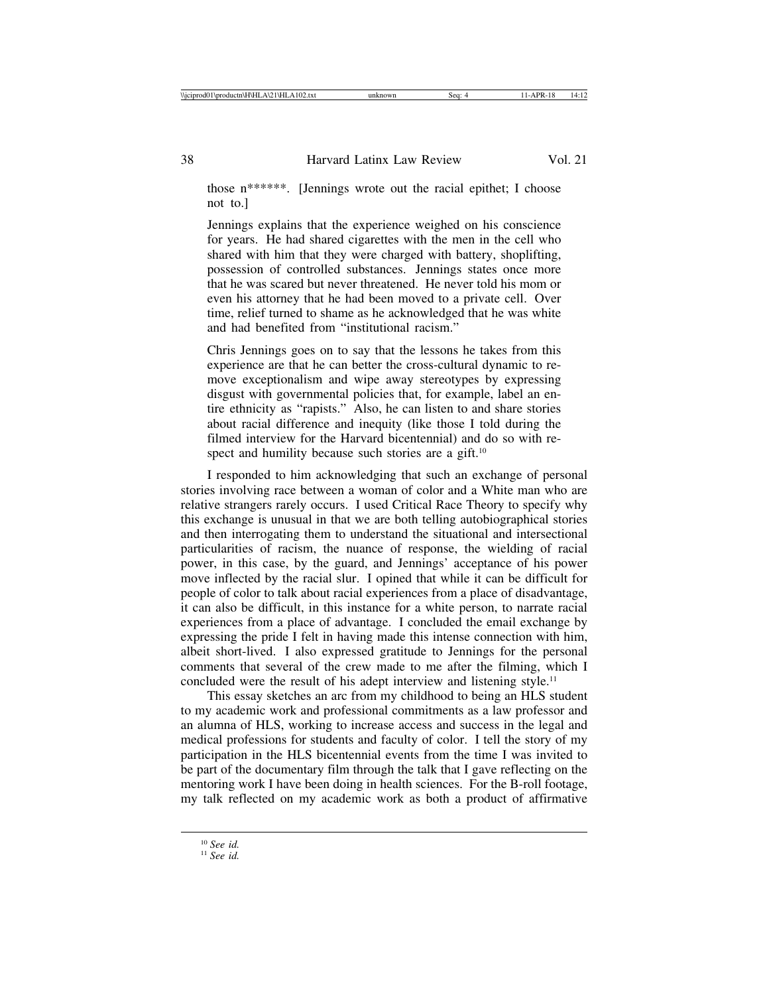those n\*\*\*\*\*\*. [Jennings wrote out the racial epithet; I choose not to.]

Jennings explains that the experience weighed on his conscience for years. He had shared cigarettes with the men in the cell who shared with him that they were charged with battery, shoplifting, possession of controlled substances. Jennings states once more that he was scared but never threatened. He never told his mom or even his attorney that he had been moved to a private cell. Over time, relief turned to shame as he acknowledged that he was white and had benefited from "institutional racism."

Chris Jennings goes on to say that the lessons he takes from this experience are that he can better the cross-cultural dynamic to remove exceptionalism and wipe away stereotypes by expressing disgust with governmental policies that, for example, label an entire ethnicity as "rapists." Also, he can listen to and share stories about racial difference and inequity (like those I told during the filmed interview for the Harvard bicentennial) and do so with respect and humility because such stories are a gift.<sup>10</sup>

I responded to him acknowledging that such an exchange of personal stories involving race between a woman of color and a White man who are relative strangers rarely occurs. I used Critical Race Theory to specify why this exchange is unusual in that we are both telling autobiographical stories and then interrogating them to understand the situational and intersectional particularities of racism, the nuance of response, the wielding of racial power, in this case, by the guard, and Jennings' acceptance of his power move inflected by the racial slur. I opined that while it can be difficult for people of color to talk about racial experiences from a place of disadvantage, it can also be difficult, in this instance for a white person, to narrate racial experiences from a place of advantage. I concluded the email exchange by expressing the pride I felt in having made this intense connection with him, albeit short-lived. I also expressed gratitude to Jennings for the personal comments that several of the crew made to me after the filming, which I concluded were the result of his adept interview and listening style.<sup>11</sup>

This essay sketches an arc from my childhood to being an HLS student to my academic work and professional commitments as a law professor and an alumna of HLS, working to increase access and success in the legal and medical professions for students and faculty of color. I tell the story of my participation in the HLS bicentennial events from the time I was invited to be part of the documentary film through the talk that I gave reflecting on the mentoring work I have been doing in health sciences. For the B-roll footage, my talk reflected on my academic work as both a product of affirmative

<sup>10</sup> *See id.* <sup>11</sup> *See id.*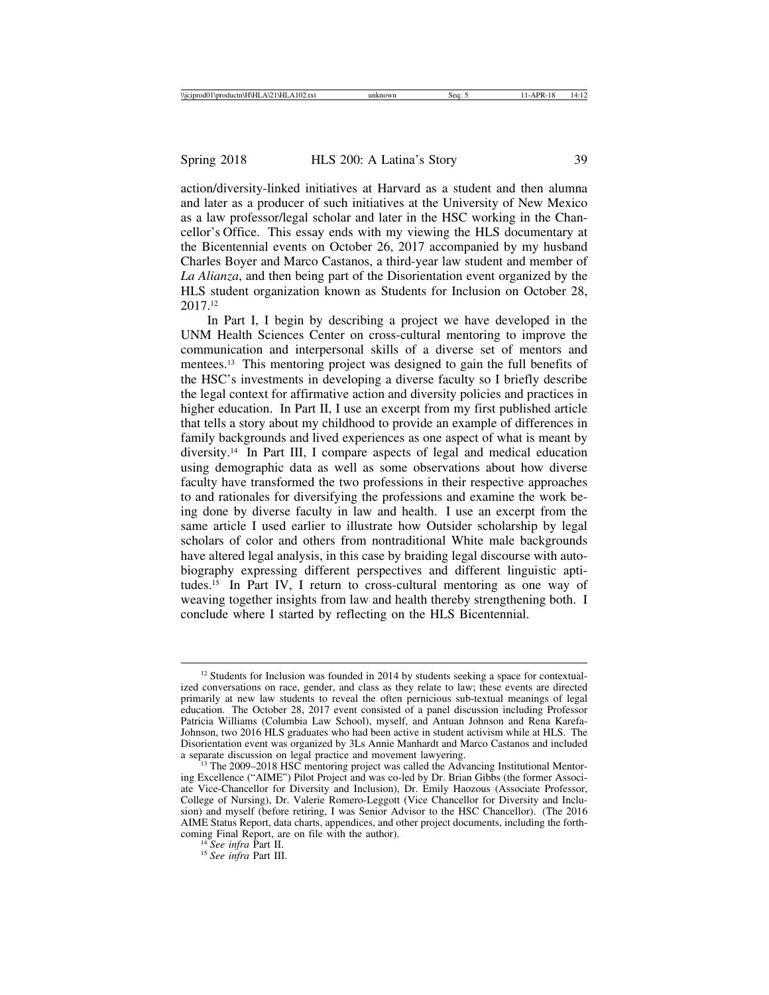action/diversity-linked initiatives at Harvard as a student and then alumna and later as a producer of such initiatives at the University of New Mexico as a law professor/legal scholar and later in the HSC working in the Chancellor's Office. This essay ends with my viewing the HLS documentary at the Bicentennial events on October 26, 2017 accompanied by my husband Charles Boyer and Marco Castanos, a third-year law student and member of *La Alianza*, and then being part of the Disorientation event organized by the HLS student organization known as Students for Inclusion on October 28, 2017.12

In Part I, I begin by describing a project we have developed in the UNM Health Sciences Center on cross-cultural mentoring to improve the communication and interpersonal skills of a diverse set of mentors and mentees.13 This mentoring project was designed to gain the full benefits of the HSC's investments in developing a diverse faculty so I briefly describe the legal context for affirmative action and diversity policies and practices in higher education. In Part II, I use an excerpt from my first published article that tells a story about my childhood to provide an example of differences in family backgrounds and lived experiences as one aspect of what is meant by diversity.14 In Part III, I compare aspects of legal and medical education using demographic data as well as some observations about how diverse faculty have transformed the two professions in their respective approaches to and rationales for diversifying the professions and examine the work being done by diverse faculty in law and health. I use an excerpt from the same article I used earlier to illustrate how Outsider scholarship by legal scholars of color and others from nontraditional White male backgrounds have altered legal analysis, in this case by braiding legal discourse with autobiography expressing different perspectives and different linguistic aptitudes.15 In Part IV, I return to cross-cultural mentoring as one way of weaving together insights from law and health thereby strengthening both. I conclude where I started by reflecting on the HLS Bicentennial.

<sup>&</sup>lt;sup>12</sup> Students for Inclusion was founded in 2014 by students seeking a space for contextualized conversations on race, gender, and class as they relate to law; these events are directed primarily at new law students to reveal the often pernicious sub-textual meanings of legal education. The October 28, 2017 event consisted of a panel discussion including Professor Patricia Williams (Columbia Law School), myself, and Antuan Johnson and Rena Karefa-Johnson, two 2016 HLS graduates who had been active in student activism while at HLS. The Disorientation event was organized by 3Ls Annie Manhardt and Marco Castanos and included

 $13$  The 2009–2018 HSC mentoring project was called the Advancing Institutional Mentoring Excellence ("AIME") Pilot Project and was co-led by Dr. Brian Gibbs (the former Associate Vice-Chancellor for Diversity and Inclusion), Dr. Emily Haozous (Associate Professor, College of Nursing), Dr. Valerie Romero-Leggott (Vice Chancellor for Diversity and Inclusion) and myself (before retiring, I was Senior Advisor to the HSC Chancellor). (The 2016 AIME Status Report, data charts, appendices, and other project documents, including the forthcoming Final Report, are on file with the author). <sup>14</sup> *See infra* Part II. <sup>15</sup> *See infra* Part III.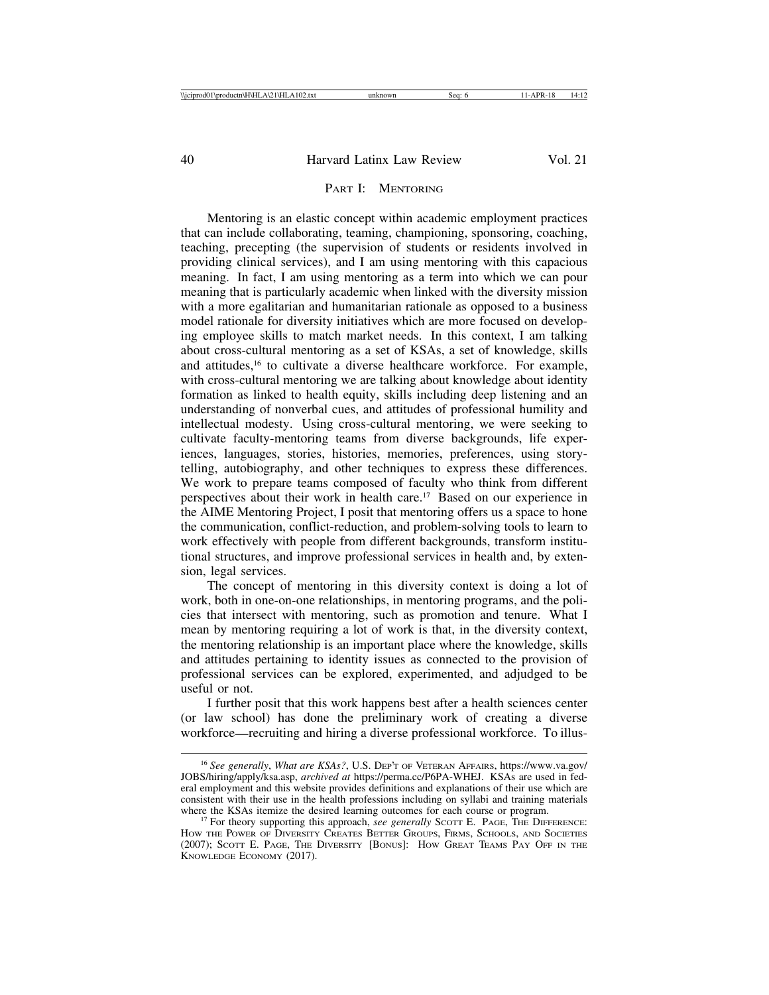## PART I: MENTORING

Mentoring is an elastic concept within academic employment practices that can include collaborating, teaming, championing, sponsoring, coaching, teaching, precepting (the supervision of students or residents involved in providing clinical services), and I am using mentoring with this capacious meaning. In fact, I am using mentoring as a term into which we can pour meaning that is particularly academic when linked with the diversity mission with a more egalitarian and humanitarian rationale as opposed to a business model rationale for diversity initiatives which are more focused on developing employee skills to match market needs. In this context, I am talking about cross-cultural mentoring as a set of KSAs, a set of knowledge, skills and attitudes,16 to cultivate a diverse healthcare workforce. For example, with cross-cultural mentoring we are talking about knowledge about identity formation as linked to health equity, skills including deep listening and an understanding of nonverbal cues, and attitudes of professional humility and intellectual modesty. Using cross-cultural mentoring, we were seeking to cultivate faculty-mentoring teams from diverse backgrounds, life experiences, languages, stories, histories, memories, preferences, using storytelling, autobiography, and other techniques to express these differences. We work to prepare teams composed of faculty who think from different perspectives about their work in health care.17 Based on our experience in the AIME Mentoring Project, I posit that mentoring offers us a space to hone the communication, conflict-reduction, and problem-solving tools to learn to work effectively with people from different backgrounds, transform institutional structures, and improve professional services in health and, by extension, legal services.

The concept of mentoring in this diversity context is doing a lot of work, both in one-on-one relationships, in mentoring programs, and the policies that intersect with mentoring, such as promotion and tenure. What I mean by mentoring requiring a lot of work is that, in the diversity context, the mentoring relationship is an important place where the knowledge, skills and attitudes pertaining to identity issues as connected to the provision of professional services can be explored, experimented, and adjudged to be useful or not.

I further posit that this work happens best after a health sciences center (or law school) has done the preliminary work of creating a diverse workforce—recruiting and hiring a diverse professional workforce. To illus-

<sup>16</sup> *See generally*, *What are KSAs?*, U.S. DEP'T OF VETERAN AFFAIRS, https://www.va.gov/ JOBS/hiring/apply/ksa.asp, *archived at* https://perma.cc/P6PA-WHEJ. KSAs are used in federal employment and this website provides definitions and explanations of their use which are consistent with their use in the health professions including on syllabi and training materials where the KSAs itemize the desired learning outcomes for each course or program.

<sup>&</sup>lt;sup>17</sup> For theory supporting this approach, *see generally* SCOTT E. PAGE, THE DIFFERENCE: HOW THE POWER OF DIVERSITY CREATES BETTER GROUPS, FIRMS, SCHOOLS, AND SOCIETIES (2007); SCOTT E. PAGE, THE DIVERSITY [BONUS]: HOW GREAT TEAMS PAY OFF IN THE KNOWLEDGE ECONOMY (2017).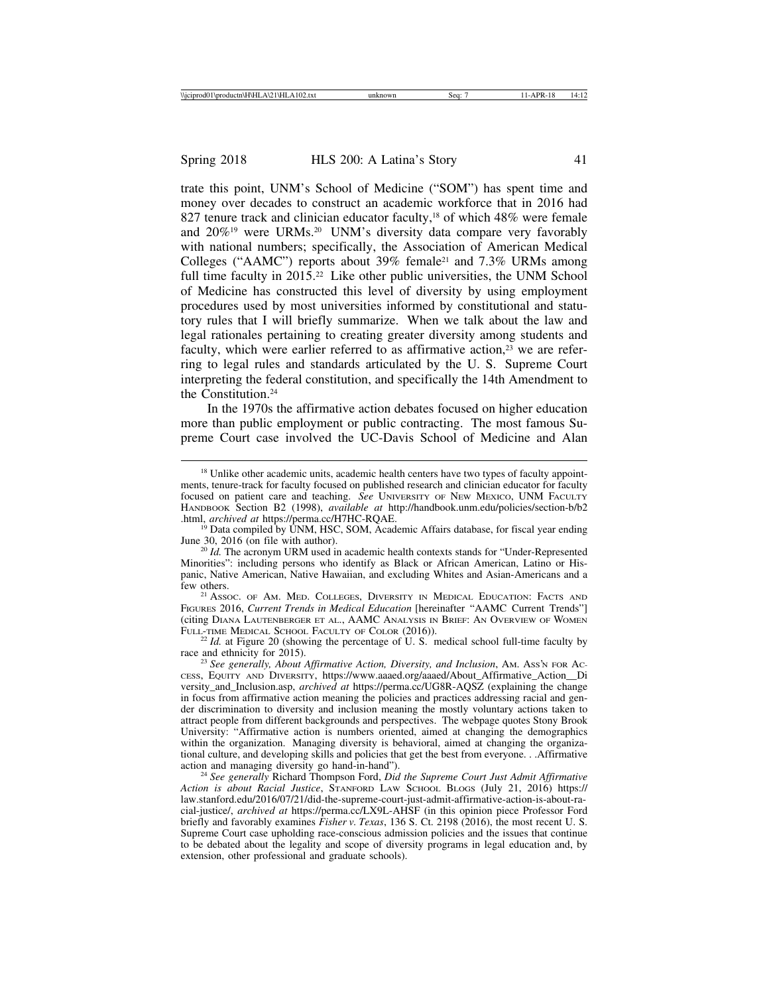trate this point, UNM's School of Medicine ("SOM") has spent time and money over decades to construct an academic workforce that in 2016 had 827 tenure track and clinician educator faculty,<sup>18</sup> of which 48% were female and 20%19 were URMs.20 UNM's diversity data compare very favorably with national numbers; specifically, the Association of American Medical Colleges ("AAMC") reports about 39% female<sup>21</sup> and 7.3% URMs among full time faculty in 2015.<sup>22</sup> Like other public universities, the UNM School of Medicine has constructed this level of diversity by using employment procedures used by most universities informed by constitutional and statutory rules that I will briefly summarize. When we talk about the law and legal rationales pertaining to creating greater diversity among students and faculty, which were earlier referred to as affirmative action, $23$  we are referring to legal rules and standards articulated by the U. S. Supreme Court interpreting the federal constitution, and specifically the 14th Amendment to the Constitution.24

In the 1970s the affirmative action debates focused on higher education more than public employment or public contracting. The most famous Supreme Court case involved the UC-Davis School of Medicine and Alan

FIGURES 2016, *Current Trends in Medical Education* [hereinafter "AAMC Current Trends"] (citing DIANA LAUTENBERGER ET AL., AAMC ANALYSIS IN BRIEF: AN OVERVIEW OF WOMEN FULL-TIME MEDICAL SCHOOL FACULTY OF COLOR (2016)). <sup>22</sup> *Id.* at Figure 20 (showing the percentage of U. S. medical school full-time faculty by

<sup>&</sup>lt;sup>18</sup> Unlike other academic units, academic health centers have two types of faculty appointments, tenure-track for faculty focused on published research and clinician educator for faculty focused on patient care and teaching. *See* UNIVERSITY OF NEW MEXICO, UNM FACULTY HANDBOOK Section B2 (1998), *available at http://handbook.unm.edu/policies/section-b/b2*.html, *archived at https://perma.cc/H7HC-RQAE.* 

<sup>&</sup>lt;sup>19</sup> Data compiled by UNM, HSC, SOM, Academic Affairs database, for fiscal year ending June 30, 2016 (on file with author). <sup>20</sup> *Id.* The acronym URM used in academic health contexts stands for "Under-Represented

Minorities": including persons who identify as Black or African American, Latino or Hispanic, Native American, Native Hawaiian, and excluding Whites and Asian-Americans and a few others.<br><sup>21</sup> Assoc. of Am. Med. Colleges, Diversity in Medical Education: Facts and

race and ethnicity for 2015). <sup>23</sup> *See generally, About Affirmative Action, Diversity, and Inclusion, AM. Ass'N FOR Ac-*

CESS, EQUITY AND DIVERSITY, https://www.aaaed.org/aaaed/About\_Affirmative\_Action\_\_Di versity\_and\_Inclusion.asp, *archived at* https://perma.cc/UG8R-AQSZ (explaining the change in focus from affirmative action meaning the policies and practices addressing racial and gender discrimination to diversity and inclusion meaning the mostly voluntary actions taken to attract people from different backgrounds and perspectives. The webpage quotes Stony Brook University: "Affirmative action is numbers oriented, aimed at changing the demographics within the organization. Managing diversity is behavioral, aimed at changing the organizational culture, and developing skills and policies that get the best from everyone. . .Affirmative

<sup>&</sup>lt;sup>24</sup> See generally Richard Thompson Ford, *Did the Supreme Court Just Admit Affirmative Action is about Racial Justice*, STANFORD LAW SCHOOL BLOGS (July 21, 2016) https:// law.stanford.edu/2016/07/21/did-the-supreme-court-just-admit-affirmative-action-is-about-racial-justice/, *archived at* https://perma.cc/LX9L-AHSF (in this opinion piece Professor Ford briefly and favorably examines *Fisher v. Texas*, 136 S. Ct. 2198 (2016), the most recent U. S. Supreme Court case upholding race-conscious admission policies and the issues that continue to be debated about the legality and scope of diversity programs in legal education and, by extension, other professional and graduate schools).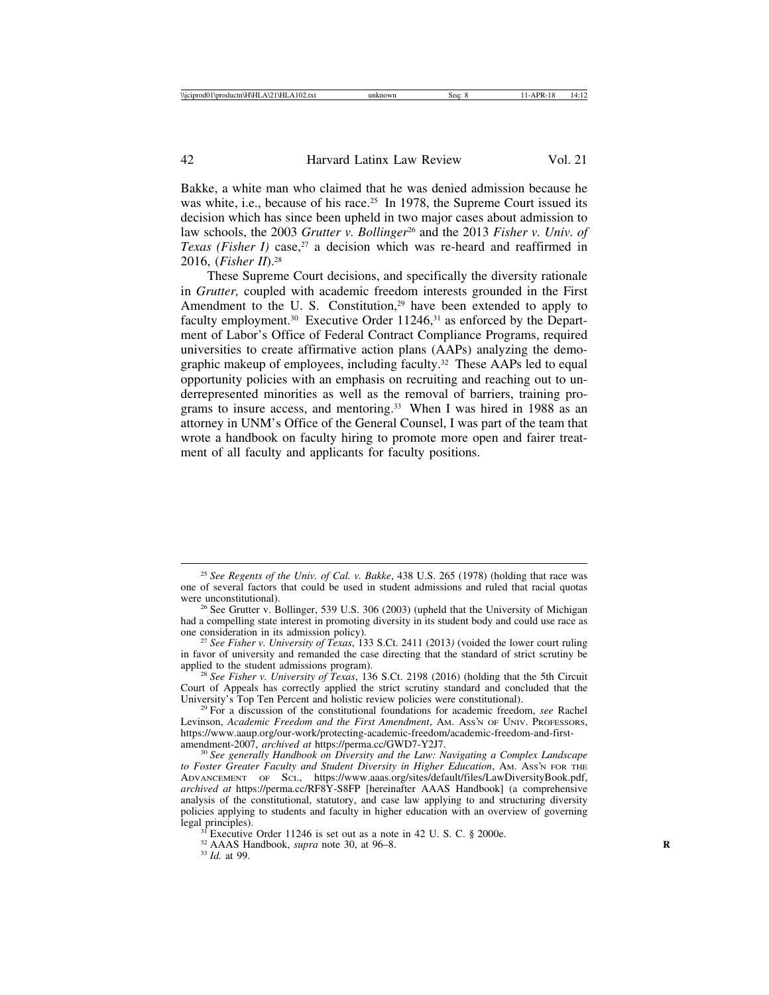Bakke, a white man who claimed that he was denied admission because he was white, i.e., because of his race.<sup>25</sup> In 1978, the Supreme Court issued its decision which has since been upheld in two major cases about admission to law schools, the 2003 *Grutter v. Bollinger*<sup>26</sup> and the 2013 *Fisher v. Univ. of Texas (Fisher I)* case,<sup>27</sup> a decision which was re-heard and reaffirmed in 2016, (*Fisher II*).28

These Supreme Court decisions, and specifically the diversity rationale in *Grutter,* coupled with academic freedom interests grounded in the First Amendment to the U. S. Constitution, $29$  have been extended to apply to faculty employment.<sup>30</sup> Executive Order 11246,<sup>31</sup> as enforced by the Department of Labor's Office of Federal Contract Compliance Programs, required universities to create affirmative action plans (AAPs) analyzing the demographic makeup of employees, including faculty.32 These AAPs led to equal opportunity policies with an emphasis on recruiting and reaching out to underrepresented minorities as well as the removal of barriers, training programs to insure access, and mentoring.<sup>33</sup> When I was hired in 1988 as an attorney in UNM's Office of the General Counsel, I was part of the team that wrote a handbook on faculty hiring to promote more open and fairer treatment of all faculty and applicants for faculty positions.

<sup>25</sup> *See Regents of the Univ. of Cal. v. Bakke*, 438 U.S. 265 (1978) (holding that race was one of several factors that could be used in student admissions and ruled that racial quotas were unconstitutional).<br><sup>26</sup> See Grutter v. Bollinger, 539 U.S. 306 (2003) (upheld that the University of Michigan

had a compelling state interest in promoting diversity in its student body and could use race as one consideration in its admission policy).

<sup>&</sup>lt;sup>27</sup> See Fisher v. University of Texas, 133 S.Ct. 2411 (2013) (voided the lower court ruling in favor of university and remanded the case directing that the standard of strict scrutiny be applied to the student admissions program).

<sup>&</sup>lt;sup>28</sup> See Fisher v. University of Texas, 136 S.Ct. 2198 (2016) (holding that the 5th Circuit Court of Appeals has correctly applied the strict scrutiny standard and concluded that the

<sup>&</sup>lt;sup>29</sup> For a discussion of the constitutional foundations for academic freedom, *see* Rachel Levinson, *Academic Freedom and the First Amendment*, AM. ASS'N OF UNIV. PROFESSORS, https://www.aaup.org/our-work/protecting-academic-freedom/academic-freedom-and-first-amendment-2007, archived at https://perma.cc/GWD7-Y2J7.

<sup>&</sup>lt;sup>30</sup> See generally Handbook on Diversity and the Law: Navigating a Complex Landscape *to Foster Greater Faculty and Student Diversity in Higher Education*, AM. ASS'N FOR THE ADVANCEMENT OF SCI., https://www.aaas.org/sites/default/files/LawDiversityBook.pdf, *archived at* https://perma.cc/RF8Y-S8FP [hereinafter AAAS Handbook] (a comprehensive analysis of the constitutional, statutory, and case law applying to and structuring diversity policies applying to students and faculty in higher education with an overview of governing legal principles).

<sup>&</sup>lt;sup>31</sup> Executive Order 11246 is set out as a note in 42 U. S. C. § 2000e. <sup>32</sup> AAAS Handbook, *supra* note 30, at 96–8. **R** 33 *Id.* at 99.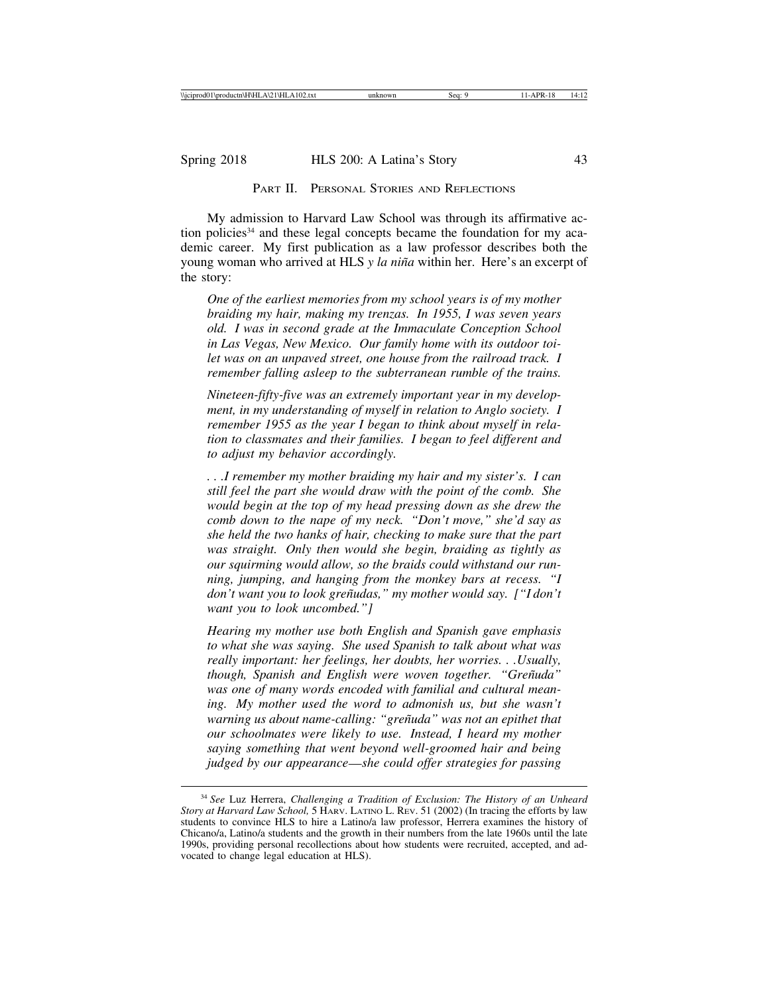### PART II. PERSONAL STORIES AND REFLECTIONS

My admission to Harvard Law School was through its affirmative action policies<sup>34</sup> and these legal concepts became the foundation for my academic career. My first publication as a law professor describes both the young woman who arrived at HLS *y la niña* within her. Here's an excerpt of the story:

*One of the earliest memories from my school years is of my mother braiding my hair, making my trenzas. In 1955, I was seven years old. I was in second grade at the Immaculate Conception School in Las Vegas, New Mexico. Our family home with its outdoor toilet was on an unpaved street, one house from the railroad track. I remember falling asleep to the subterranean rumble of the trains.*

*Nineteen-fifty-five was an extremely important year in my development, in my understanding of myself in relation to Anglo society. I remember 1955 as the year I began to think about myself in relation to classmates and their families. I began to feel different and to adjust my behavior accordingly.*

*. . .I remember my mother braiding my hair and my sister's. I can still feel the part she would draw with the point of the comb. She would begin at the top of my head pressing down as she drew the comb down to the nape of my neck. "Don't move," she'd say as she held the two hanks of hair, checking to make sure that the part was straight. Only then would she begin, braiding as tightly as our squirming would allow, so the braids could withstand our running, jumping, and hanging from the monkey bars at recess. "I don't want you to look greñudas," my mother would say.* ["I don't *want you to look uncombed."]*

*Hearing my mother use both English and Spanish gave emphasis to what she was saying. She used Spanish to talk about what was really important: her feelings, her doubts, her worries. . .Usually, though, Spanish and English were woven together. "Gre˜nuda" was one of many words encoded with familial and cultural meaning. My mother used the word to admonish us, but she wasn't warning us about name-calling: "gre˜nuda" was not an epithet that our schoolmates were likely to use. Instead, I heard my mother saying something that went beyond well-groomed hair and being judged by our appearance*—*she could offer strategies for passing*

<sup>34</sup> *See* Luz Herrera, *Challenging a Tradition of Exclusion: The History of an Unheard Story at Harvard Law School,* 5 HARV. LATINO L. REV. 51 (2002) (In tracing the efforts by law students to convince HLS to hire a Latino/a law professor, Herrera examines the history of Chicano/a, Latino/a students and the growth in their numbers from the late 1960s until the late 1990s, providing personal recollections about how students were recruited, accepted, and advocated to change legal education at HLS).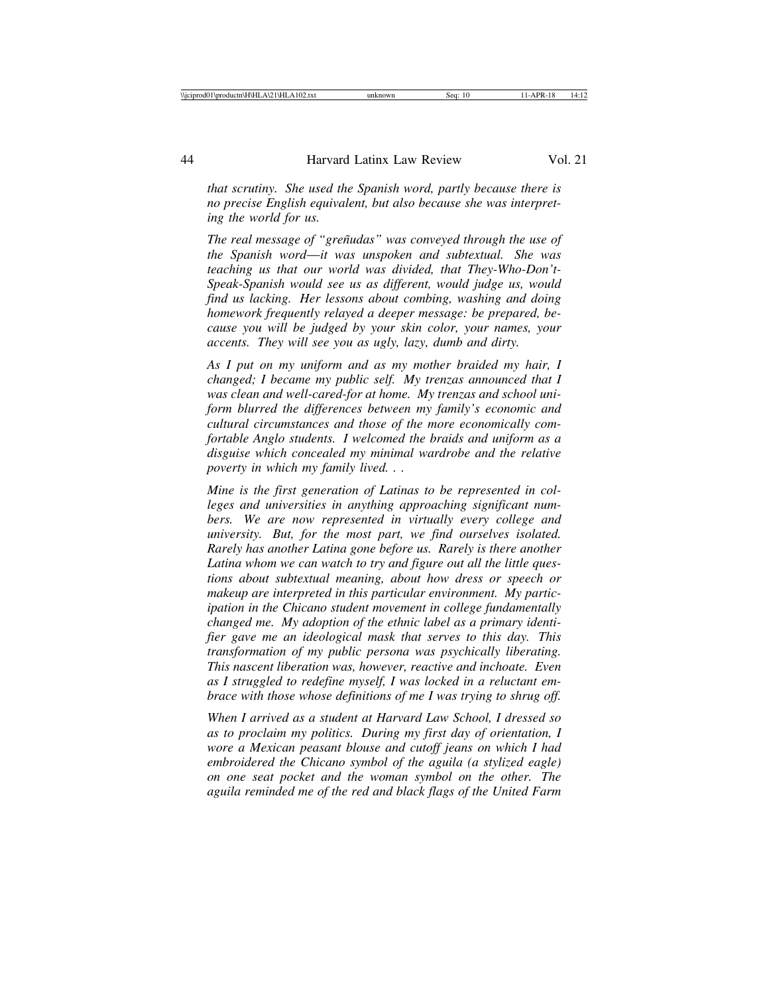*that scrutiny. She used the Spanish word, partly because there is no precise English equivalent, but also because she was interpreting the world for us.*

*The real message of "gre˜nudas" was conveyed through the use of the Spanish word*—*it was unspoken and subtextual. She was teaching us that our world was divided, that They-Who-Don't-Speak-Spanish would see us as different, would judge us, would find us lacking. Her lessons about combing, washing and doing homework frequently relayed a deeper message: be prepared, because you will be judged by your skin color, your names, your accents. They will see you as ugly, lazy, dumb and dirty.*

*As I put on my uniform and as my mother braided my hair, I changed; I became my public self. My trenzas announced that I was clean and well-cared-for at home. My trenzas and school uniform blurred the differences between my family's economic and cultural circumstances and those of the more economically comfortable Anglo students. I welcomed the braids and uniform as a disguise which concealed my minimal wardrobe and the relative poverty in which my family lived. . .*

*Mine is the first generation of Latinas to be represented in colleges and universities in anything approaching significant numbers. We are now represented in virtually every college and university. But, for the most part, we find ourselves isolated. Rarely has another Latina gone before us. Rarely is there another Latina whom we can watch to try and figure out all the little questions about subtextual meaning, about how dress or speech or makeup are interpreted in this particular environment. My participation in the Chicano student movement in college fundamentally changed me. My adoption of the ethnic label as a primary identifier gave me an ideological mask that serves to this day. This transformation of my public persona was psychically liberating. This nascent liberation was, however, reactive and inchoate. Even as I struggled to redefine myself, I was locked in a reluctant embrace with those whose definitions of me I was trying to shrug off.*

*When I arrived as a student at Harvard Law School, I dressed so as to proclaim my politics. During my first day of orientation, I wore a Mexican peasant blouse and cutoff jeans on which I had embroidered the Chicano symbol of the aguila (a stylized eagle) on one seat pocket and the woman symbol on the other. The aguila reminded me of the red and black flags of the United Farm*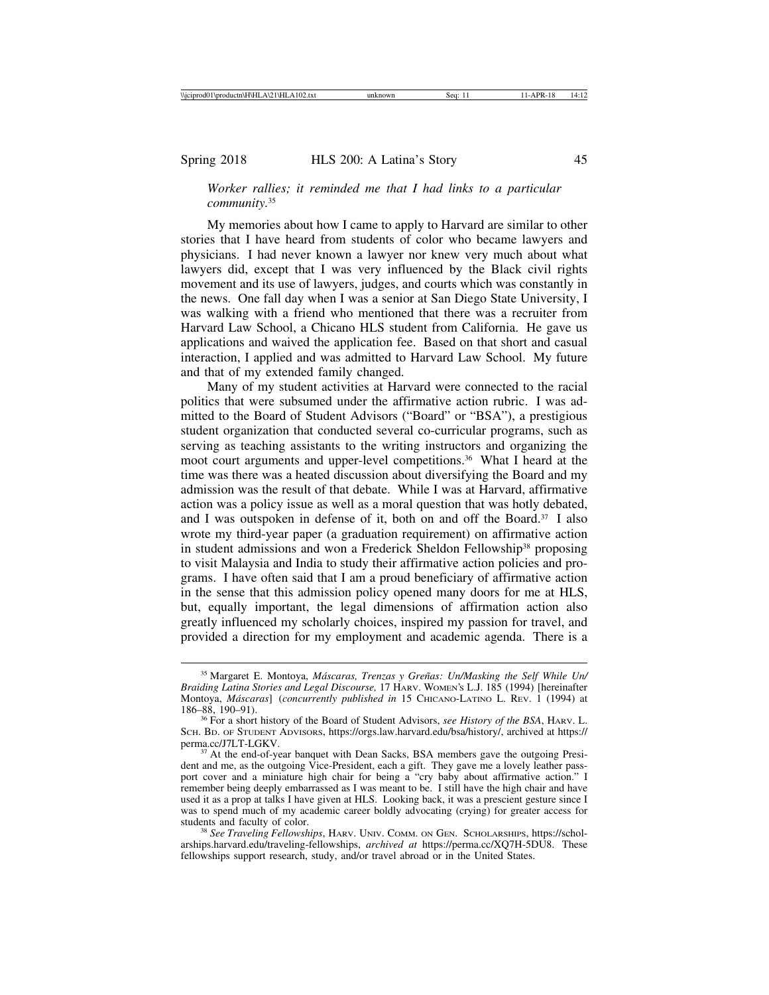*Worker rallies; it reminded me that I had links to a particular community.*<sup>35</sup>

My memories about how I came to apply to Harvard are similar to other stories that I have heard from students of color who became lawyers and physicians. I had never known a lawyer nor knew very much about what lawyers did, except that I was very influenced by the Black civil rights movement and its use of lawyers, judges, and courts which was constantly in the news. One fall day when I was a senior at San Diego State University, I was walking with a friend who mentioned that there was a recruiter from Harvard Law School, a Chicano HLS student from California. He gave us applications and waived the application fee. Based on that short and casual interaction, I applied and was admitted to Harvard Law School. My future and that of my extended family changed.

Many of my student activities at Harvard were connected to the racial politics that were subsumed under the affirmative action rubric. I was admitted to the Board of Student Advisors ("Board" or "BSA"), a prestigious student organization that conducted several co-curricular programs, such as serving as teaching assistants to the writing instructors and organizing the moot court arguments and upper-level competitions.36 What I heard at the time was there was a heated discussion about diversifying the Board and my admission was the result of that debate. While I was at Harvard, affirmative action was a policy issue as well as a moral question that was hotly debated, and I was outspoken in defense of it, both on and off the Board.<sup>37</sup> I also wrote my third-year paper (a graduation requirement) on affirmative action in student admissions and won a Frederick Sheldon Fellowship<sup>38</sup> proposing to visit Malaysia and India to study their affirmative action policies and programs. I have often said that I am a proud beneficiary of affirmative action in the sense that this admission policy opened many doors for me at HLS, but, equally important, the legal dimensions of affirmation action also greatly influenced my scholarly choices, inspired my passion for travel, and provided a direction for my employment and academic agenda. There is a

<sup>&</sup>lt;sup>35</sup> Margaret E. Montoya, *Máscaras, Trenzas y Greñas: Un/Masking the Self While Un/ Braiding Latina Stories and Legal Discourse,* 17 HARV. WOMEN'S L.J. 185 (1994) [hereinafter Montoya, *Máscaras*] (*concurrently published in* 15 CHICANO-LATINO L. REV. 1 (1994) at 186-88, 190-91).

<sup>&</sup>lt;sup>36</sup> For a short history of the Board of Student Advisors, *see History of the BSA*, HARV. L. SCH. BD. OF STUDENT ADVISORS, https://orgs.law.harvard.edu/bsa/history/, archived at https://

<sup>&</sup>lt;sup>37</sup> At the end-of-year banquet with Dean Sacks, BSA members gave the outgoing President and me, as the outgoing Vice-President, each a gift. They gave me a lovely leather passport cover and a miniature high chair for being a "cry baby about affirmative action." I remember being deeply embarrassed as I was meant to be. I still have the high chair and have used it as a prop at talks I have given at HLS. Looking back, it was a prescient gesture since I was to spend much of my academic career boldly advocating (crying) for greater access for students and faculty of color.

<sup>&</sup>lt;sup>38</sup> See Traveling Fellowships, HARV. UNIV. COMM. ON GEN. SCHOLARSHIPS, https://scholarships.harvard.edu/traveling-fellowships, *archived at* https://perma.cc/XQ7H-5DU8. These fellowships support research, study, and/or travel abroad or in the United States.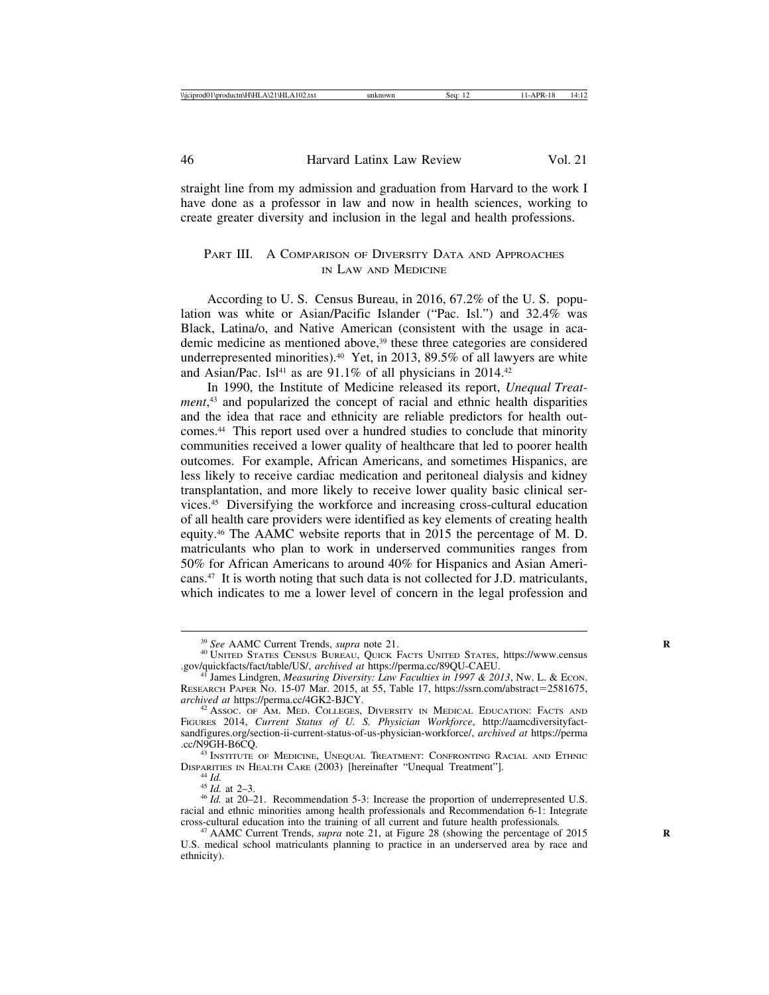straight line from my admission and graduation from Harvard to the work I have done as a professor in law and now in health sciences, working to create greater diversity and inclusion in the legal and health professions.

#### PART III. A COMPARISON OF DIVERSITY DATA AND APPROACHES IN LAW AND MEDICINE

According to U. S. Census Bureau, in 2016, 67.2% of the U. S. population was white or Asian/Pacific Islander ("Pac. Isl.") and 32.4% was Black, Latina/o, and Native American (consistent with the usage in academic medicine as mentioned above,<sup>39</sup> these three categories are considered underrepresented minorities).40 Yet, in 2013, 89.5% of all lawyers are white and Asian/Pac. Isl<sup>41</sup> as are 91.1% of all physicians in 2014.<sup>42</sup>

In 1990, the Institute of Medicine released its report, *Unequal Treatment*, 43 and popularized the concept of racial and ethnic health disparities and the idea that race and ethnicity are reliable predictors for health outcomes.44 This report used over a hundred studies to conclude that minority communities received a lower quality of healthcare that led to poorer health outcomes. For example, African Americans, and sometimes Hispanics, are less likely to receive cardiac medication and peritoneal dialysis and kidney transplantation, and more likely to receive lower quality basic clinical services.45 Diversifying the workforce and increasing cross-cultural education of all health care providers were identified as key elements of creating health equity.46 The AAMC website reports that in 2015 the percentage of M. D. matriculants who plan to work in underserved communities ranges from 50% for African Americans to around 40% for Hispanics and Asian Americans. $47$  It is worth noting that such data is not collected for J.D. matriculants, which indicates to me a lower level of concern in the legal profession and

<sup>43</sup> INSTITUTE OF MEDICINE, UNEQUAL TREATMENT: CONFRONTING RACIAL AND ETHNIC DISPARITIES IN HEALTH CARE (2003) [hereinafter "Unequal Treatment"].<br><sup>45</sup> *Id.* at 2–3.<br><sup>46</sup> *Id.* at 20–21. Recommendation 5-3: Increase the proportion of underrepresented U.S.

<sup>&</sup>lt;sup>39</sup> See AAMC Current Trends, *supra* note 21.<br><sup>40</sup> UNITED STATES CENSUS BUREAU, QUICK FACTS UNITED STATES, https://www.census<br>.gov/quickfacts/fact/table/US/, *archived at* https://perma.cc/89QU-CAEU.

James Lindgren, *Measuring Diversity: Law Faculties in 1997 & 2013*, Nw. L. & Econ. RESEARCH PAPER NO. 15-07 Mar. 2015, at 55, Table 17, https://ssrn.com/abstract=2581675, archived at https://perma.cc/4GK2-BJCY.

<sup>&</sup>lt;sup>42</sup> Assoc. OF AM. MED. COLLEGES, DIVERSITY IN MEDICAL EDUCATION: FACTS AND FIGURES 2014, *Current Status of U. S. Physician Workforce*, http://aamcdiversityfactsandfigures.org/section-ii-current-status-of-us-physician-workforce/, *archived at* https://perma

racial and ethnic minorities among health professionals and Recommendation 6-1: Integrate cross-cultural education into the training of all current and future health professionals.

<sup>&</sup>lt;sup>47</sup> AAMC Current Trends, *supra* note 21, at Figure 28 (showing the percentage of 2015 U.S. medical school matriculants planning to practice in an underserved area by race and ethnicity).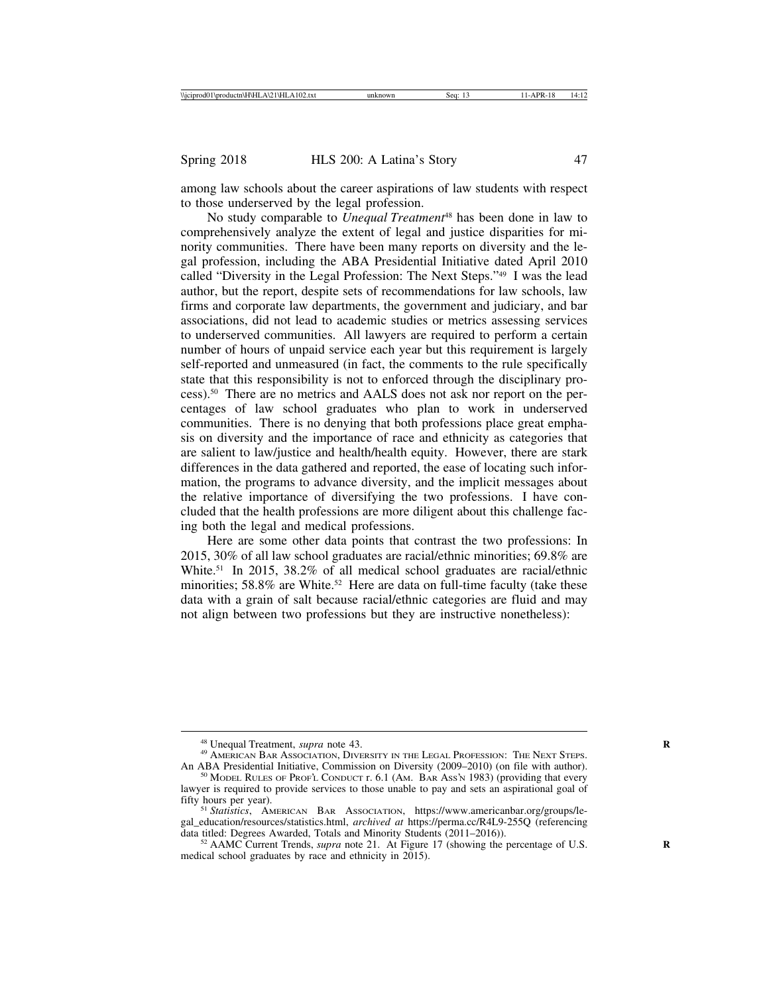among law schools about the career aspirations of law students with respect to those underserved by the legal profession.

No study comparable to *Unequal Treatment*48 has been done in law to comprehensively analyze the extent of legal and justice disparities for minority communities. There have been many reports on diversity and the legal profession, including the ABA Presidential Initiative dated April 2010 called "Diversity in the Legal Profession: The Next Steps."49 I was the lead author, but the report, despite sets of recommendations for law schools, law firms and corporate law departments, the government and judiciary, and bar associations, did not lead to academic studies or metrics assessing services to underserved communities. All lawyers are required to perform a certain number of hours of unpaid service each year but this requirement is largely self-reported and unmeasured (in fact, the comments to the rule specifically state that this responsibility is not to enforced through the disciplinary process).50 There are no metrics and AALS does not ask nor report on the percentages of law school graduates who plan to work in underserved communities. There is no denying that both professions place great emphasis on diversity and the importance of race and ethnicity as categories that are salient to law/justice and health/health equity. However, there are stark differences in the data gathered and reported, the ease of locating such information, the programs to advance diversity, and the implicit messages about the relative importance of diversifying the two professions. I have concluded that the health professions are more diligent about this challenge facing both the legal and medical professions.

Here are some other data points that contrast the two professions: In 2015, 30% of all law school graduates are racial/ethnic minorities; 69.8% are White.<sup>51</sup> In 2015, 38.2% of all medical school graduates are racial/ethnic minorities;  $58.8\%$  are White.<sup>52</sup> Here are data on full-time faculty (take these data with a grain of salt because racial/ethnic categories are fluid and may not align between two professions but they are instructive nonetheless):

<sup>&</sup>lt;sup>48</sup> Unequal Treatment, *supra* note 43.<br><sup>49</sup> AMERICAN BAR ASSOCIATION, DIVERSITY IN THE LEGAL PROFESSION: THE NEXT STEPS. An ABA Presidential Initiative, Commission on Diversity (2009–2010) (on file with author). <sup>50</sup> MoDEL RULES OF PROF'L CONDUCT r. 6.1 (AM. BAR Ass'N 1983) (providing that every

lawyer is required to provide services to those unable to pay and sets an aspirational goal of fifty hours per year). <sup>51</sup> *Statistics*, AMERICAN BAR ASSOCIATION, https://www.americanbar.org/groups/le-

gal\_education/resources/statistics.html, *archived at https://perma.cc/R4L9-255Q (referencing data titled: Degrees Awarded, Totals and Minority Students (2011–2016)).* 

<sup>&</sup>lt;sup>52</sup> AAMC Current Trends, *supra* note 21. At Figure 17 (showing the percentage of U.S. medical school graduates by race and ethnicity in 2015).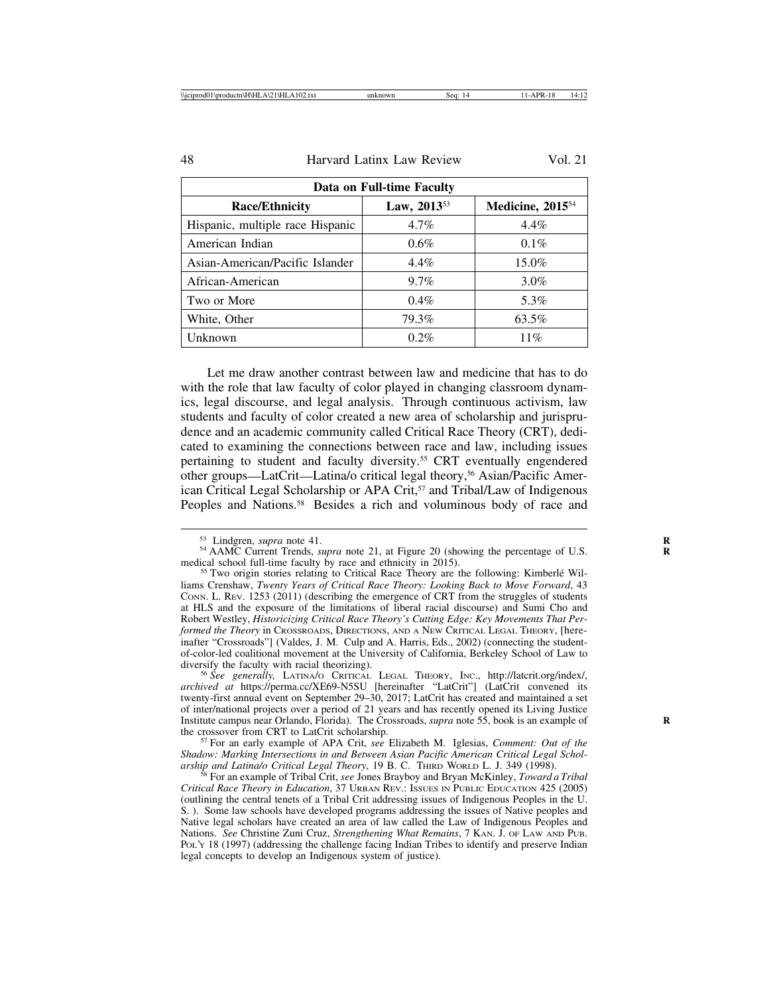| Data on Full-time Faculty        |                         |                              |
|----------------------------------|-------------------------|------------------------------|
| <b>Race/Ethnicity</b>            | Law, 2013 <sup>53</sup> | Medicine, 2015 <sup>54</sup> |
| Hispanic, multiple race Hispanic | 4.7%                    | $4.4\%$                      |
| American Indian                  | $0.6\%$                 | $0.1\%$                      |
| Asian-American/Pacific Islander  | $4.4\%$                 | 15.0%                        |
| African-American                 | $9.7\%$                 | $3.0\%$                      |
| Two or More                      | $0.4\%$                 | 5.3%                         |
| White, Other                     | 79.3%                   | 63.5%                        |
| Unknown                          | $0.2\%$                 | 11%                          |

Let me draw another contrast between law and medicine that has to do with the role that law faculty of color played in changing classroom dynamics, legal discourse, and legal analysis. Through continuous activism, law students and faculty of color created a new area of scholarship and jurisprudence and an academic community called Critical Race Theory (CRT), dedicated to examining the connections between race and law, including issues pertaining to student and faculty diversity.55 CRT eventually engendered other groups—LatCrit—Latina/o critical legal theory,56 Asian/Pacific American Critical Legal Scholarship or APA Crit,<sup>57</sup> and Tribal/Law of Indigenous Peoples and Nations.<sup>58</sup> Besides a rich and voluminous body of race and

*archived at* https://perma.cc/XE69-N5SU [hereinafter "LatCrit"] (LatCrit convened its twenty-first annual event on September 29–30, 2017; LatCrit has created and maintained a set of inter/national projects over a period of 21 years and has recently opened its Living Justice Institute campus near Orlando, Florida). The Crossroads, *supra* note 55, book is an example of the crossover from CRT to LatCrit scholarship.

<sup>57</sup> For an early example of APA Crit, *see Elizabeth M. Iglesias, Comment: Out of the Shadow: Marking Intersections in and Between Asian Pacific American Critical Legal Scholarship and Latina/o Critical Legal Theory*, 19 B. C. THIRD WORLD L. J. 349 (1998). <sup>58</sup> For an example of Tribal Crit, *see* Jones Brayboy and Bryan McKinley, *Toward a Tribal*

*Critical Race Theory in Education*, 37 URBAN REV.: ISSUES IN PUBLIC EDUCATION 425 (2005) (outlining the central tenets of a Tribal Crit addressing issues of Indigenous Peoples in the U. S. ). Some law schools have developed programs addressing the issues of Native peoples and Native legal scholars have created an area of law called the Law of Indigenous Peoples and Nations. *See* Christine Zuni Cruz, *Strengthening What Remains*, 7 KAN. J. OF LAW AND PUB. Pol.'y 18 (1997) (addressing the challenge facing Indian Tribes to identify and preserve Indian legal concepts to develop an Indigenous system of justice).

<sup>&</sup>lt;sup>53</sup> Lindgren, *supra* note 41.<br><sup>54</sup> AAMC Current Trends, *supra* note 21, at Figure 20 (showing the percentage of U.S. medical school full-time faculty by race and ethnicity in 2015).

<sup>&</sup>lt;sup>55</sup> Two origin stories relating to Critical Race Theory are the following: Kimberlé Williams Crenshaw, *Twenty Years of Critical Race Theory: Looking Back to Move Forward*, 43 CONN. L. REV. 1253 (2011) (describing the emergence of CRT from the struggles of students at HLS and the exposure of the limitations of liberal racial discourse) and Sumi Cho and Robert Westley, *Historicizing Critical Race Theory's Cutting Edge: Key Movements That Performed the Theory* in CROSSROADS, DIRECTIONS, AND A NEW CRITICAL LEGAL THEORY, [hereinafter "Crossroads"] (Valdes, J. M. Culp and A. Harris, Eds., 2002) (connecting the studentof-color-led coalitional movement at the University of California, Berkeley School of Law to diversify the faculty with racial theorizing). <sup>56</sup> *See generally,* LATINA/O CRITICAL LEGAL THEORY, INC., http://latcrit.org/index/,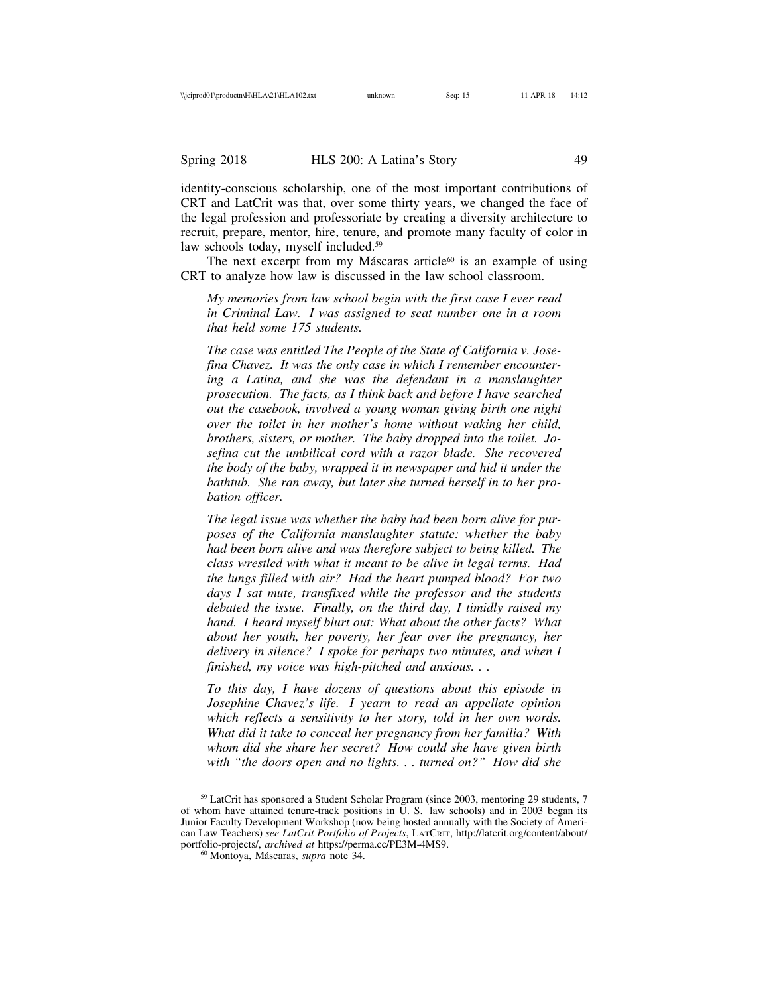identity-conscious scholarship, one of the most important contributions of CRT and LatCrit was that, over some thirty years, we changed the face of the legal profession and professoriate by creating a diversity architecture to recruit, prepare, mentor, hire, tenure, and promote many faculty of color in law schools today, myself included.<sup>59</sup>

The next excerpt from my Máscaras article $60$  is an example of using CRT to analyze how law is discussed in the law school classroom.

*My memories from law school begin with the first case I ever read in Criminal Law. I was assigned to seat number one in a room that held some 175 students.*

*The case was entitled The People of the State of California v. Josefina Chavez. It was the only case in which I remember encountering a Latina, and she was the defendant in a manslaughter prosecution. The facts, as I think back and before I have searched out the casebook, involved a young woman giving birth one night over the toilet in her mother's home without waking her child, brothers, sisters, or mother. The baby dropped into the toilet. Josefina cut the umbilical cord with a razor blade. She recovered the body of the baby, wrapped it in newspaper and hid it under the bathtub. She ran away, but later she turned herself in to her probation officer.*

*The legal issue was whether the baby had been born alive for purposes of the California manslaughter statute: whether the baby had been born alive and was therefore subject to being killed. The class wrestled with what it meant to be alive in legal terms. Had the lungs filled with air? Had the heart pumped blood? For two days I sat mute, transfixed while the professor and the students debated the issue. Finally, on the third day, I timidly raised my hand. I heard myself blurt out: What about the other facts? What about her youth, her poverty, her fear over the pregnancy, her delivery in silence? I spoke for perhaps two minutes, and when I finished, my voice was high-pitched and anxious. . .*

*To this day, I have dozens of questions about this episode in Josephine Chavez's life. I yearn to read an appellate opinion which reflects a sensitivity to her story, told in her own words. What did it take to conceal her pregnancy from her familia? With whom did she share her secret? How could she have given birth with "the doors open and no lights. . . turned on?" How did she*

<sup>&</sup>lt;sup>59</sup> LatCrit has sponsored a Student Scholar Program (since 2003, mentoring 29 students, 7 of whom have attained tenure-track positions in  $\overline{U}$ . S. law schools) and in 2003 began its Junior Faculty Development Workshop (now being hosted annually with the Society of American Law Teachers) *see LatCrit Portfolio of Projects*, LATCRIT, http://latcrit.org/content/about/ portfolio-projects/, *archived at https://perma.cc/PE3M-4MS9.* 60 Montoya, Máscaras, *supra* note 34.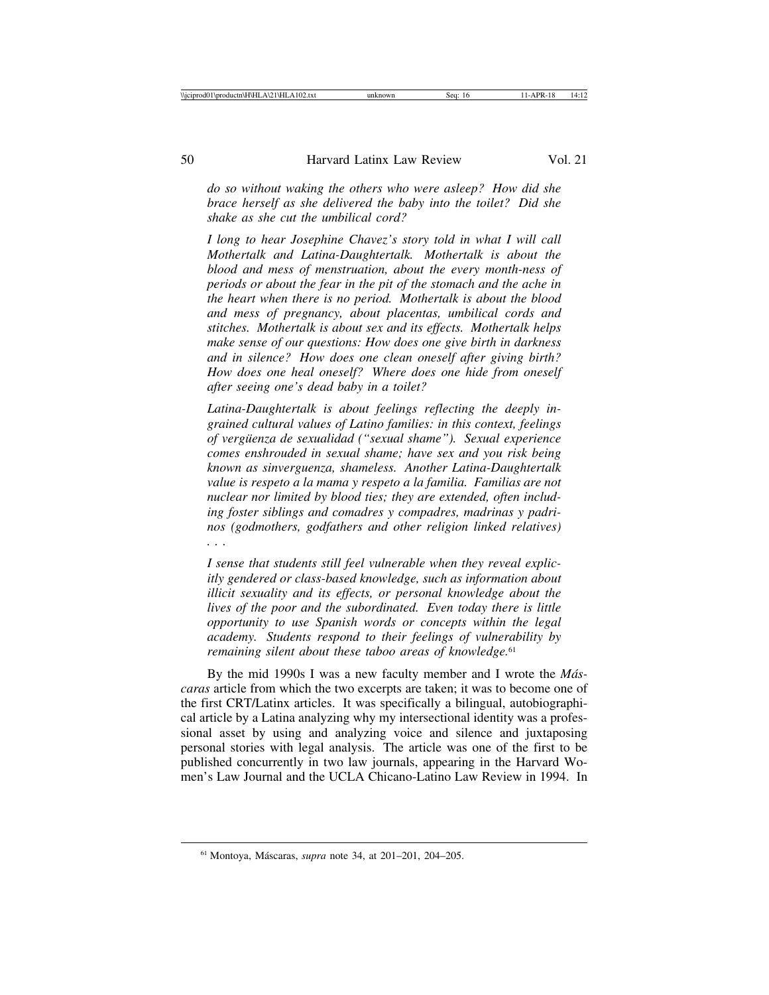*do so without waking the others who were asleep? How did she brace herself as she delivered the baby into the toilet? Did she shake as she cut the umbilical cord?*

*I long to hear Josephine Chavez's story told in what I will call Mothertalk and Latina-Daughtertalk. Mothertalk is about the blood and mess of menstruation, about the every month-ness of periods or about the fear in the pit of the stomach and the ache in the heart when there is no period. Mothertalk is about the blood and mess of pregnancy, about placentas, umbilical cords and stitches. Mothertalk is about sex and its effects. Mothertalk helps make sense of our questions: How does one give birth in darkness and in silence? How does one clean oneself after giving birth? How does one heal oneself? Where does one hide from oneself after seeing one's dead baby in a toilet?*

*Latina-Daughtertalk is about feelings reflecting the deeply ingrained cultural values of Latino families: in this context, feelings of verg¨uenza de sexualidad ("sexual shame"). Sexual experience comes enshrouded in sexual shame; have sex and you risk being known as sinverguenza, shameless. Another Latina-Daughtertalk value is respeto a la mama y respeto a la familia. Familias are not nuclear nor limited by blood ties; they are extended, often including foster siblings and comadres y compadres, madrinas y padrinos (godmothers, godfathers and other religion linked relatives) . . .*

*I sense that students still feel vulnerable when they reveal explicitly gendered or class-based knowledge, such as information about illicit sexuality and its effects, or personal knowledge about the lives of the poor and the subordinated. Even today there is little opportunity to use Spanish words or concepts within the legal academy. Students respond to their feelings of vulnerability by remaining silent about these taboo areas of knowledge.*<sup>61</sup>

By the mid 1990s I was a new faculty member and I wrote the *M´ascaras* article from which the two excerpts are taken; it was to become one of the first CRT/Latinx articles. It was specifically a bilingual, autobiographical article by a Latina analyzing why my intersectional identity was a professional asset by using and analyzing voice and silence and juxtaposing personal stories with legal analysis. The article was one of the first to be published concurrently in two law journals, appearing in the Harvard Women's Law Journal and the UCLA Chicano-Latino Law Review in 1994. In

<sup>61</sup> Montoya, M´ascaras, *supra* note 34, at 201–201, 204–205.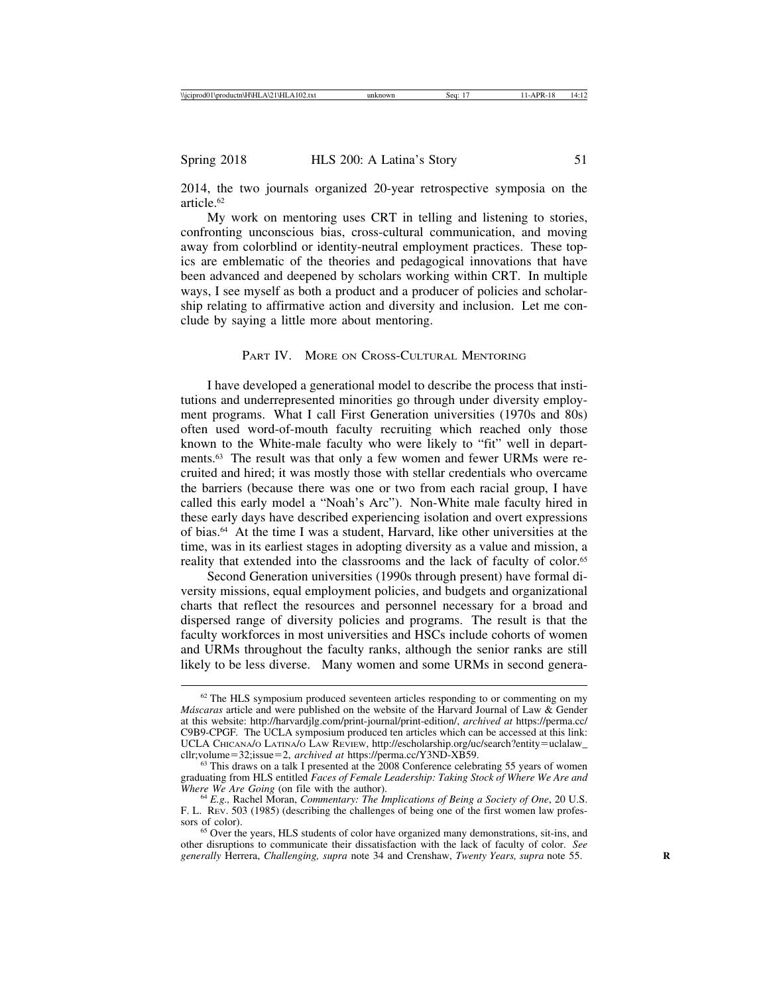2014, the two journals organized 20-year retrospective symposia on the article.62

My work on mentoring uses CRT in telling and listening to stories, confronting unconscious bias, cross-cultural communication, and moving away from colorblind or identity-neutral employment practices. These topics are emblematic of the theories and pedagogical innovations that have been advanced and deepened by scholars working within CRT. In multiple ways, I see myself as both a product and a producer of policies and scholarship relating to affirmative action and diversity and inclusion. Let me conclude by saying a little more about mentoring.

#### PART IV. MORE ON CROSS-CULTURAL MENTORING

I have developed a generational model to describe the process that institutions and underrepresented minorities go through under diversity employment programs. What I call First Generation universities (1970s and 80s) often used word-of-mouth faculty recruiting which reached only those known to the White-male faculty who were likely to "fit" well in departments.63 The result was that only a few women and fewer URMs were recruited and hired; it was mostly those with stellar credentials who overcame the barriers (because there was one or two from each racial group, I have called this early model a "Noah's Arc"). Non-White male faculty hired in these early days have described experiencing isolation and overt expressions of bias.64 At the time I was a student, Harvard, like other universities at the time, was in its earliest stages in adopting diversity as a value and mission, a reality that extended into the classrooms and the lack of faculty of color.<sup>65</sup>

Second Generation universities (1990s through present) have formal diversity missions, equal employment policies, and budgets and organizational charts that reflect the resources and personnel necessary for a broad and dispersed range of diversity policies and programs. The result is that the faculty workforces in most universities and HSCs include cohorts of women and URMs throughout the faculty ranks, although the senior ranks are still likely to be less diverse. Many women and some URMs in second genera-

 $62$  The HLS symposium produced seventeen articles responding to or commenting on my *M´ascaras* article and were published on the website of the Harvard Journal of Law & Gender at this website: http://harvardjlg.com/print-journal/print-edition/, *archived at* https://perma.cc/ C9B9-CPGF*.* The UCLA symposium produced ten articles which can be accessed at this link: UCLA CHICANA/O LATINA/O LAW REVIEW, http://escholarship.org/uc/search?entity=uclalaw\_<br>cllr;volume=32;issue=2, archived at https://perma.cc/Y3ND-XB59.

<sup>&</sup>lt;sup>63</sup> This draws on a talk I presented at the 2008 Conference celebrating 55 years of women graduating from HLS entitled *Faces of Female Leadership: Taking Stock of Where We Are and*

<sup>&</sup>lt;sup>64</sup> *E.g., Rachel Moran, Commentary: The Implications of Being a Society of One, 20 U.S.* F. L. REV. 503 (1985) (describing the challenges of being one of the first women law profes-

 $<sup>65</sup>$  Over the years, HLS students of color have organized many demonstrations, sit-ins, and</sup> other disruptions to communicate their dissatisfaction with the lack of faculty of color. *See generally* Herrera, *Challenging, supra* note 34 and Crenshaw, *Twenty Years, supra* note 55. **R**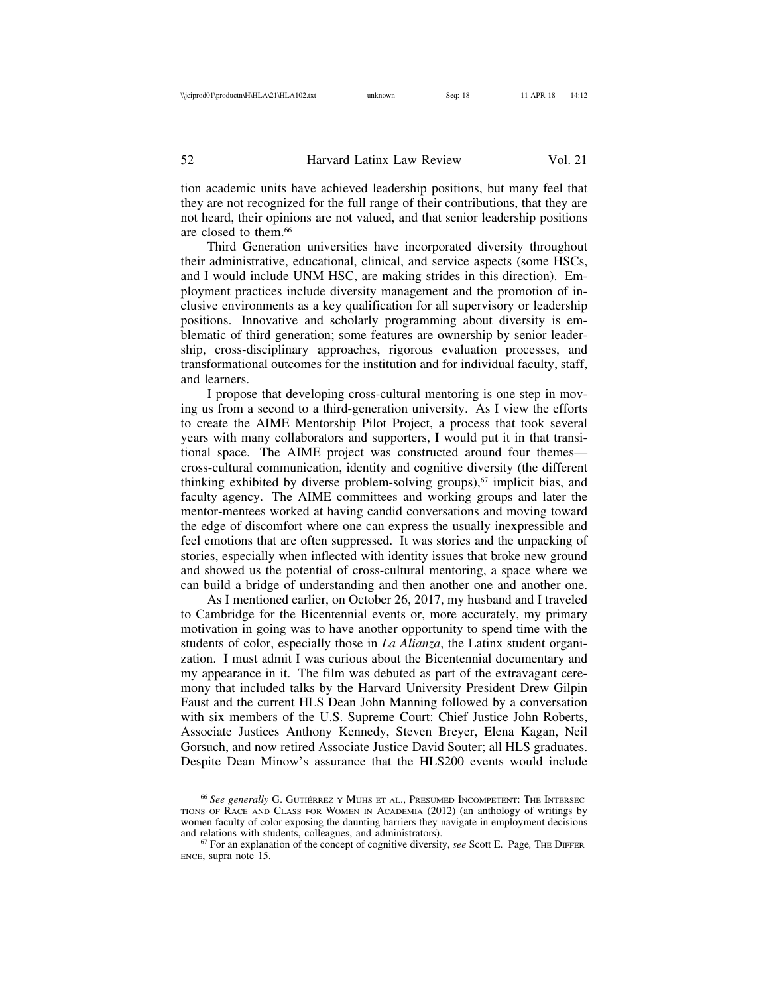tion academic units have achieved leadership positions, but many feel that they are not recognized for the full range of their contributions, that they are not heard, their opinions are not valued, and that senior leadership positions are closed to them.66

Third Generation universities have incorporated diversity throughout their administrative, educational, clinical, and service aspects (some HSCs, and I would include UNM HSC, are making strides in this direction). Employment practices include diversity management and the promotion of inclusive environments as a key qualification for all supervisory or leadership positions. Innovative and scholarly programming about diversity is emblematic of third generation; some features are ownership by senior leadership, cross-disciplinary approaches, rigorous evaluation processes, and transformational outcomes for the institution and for individual faculty, staff, and learners.

I propose that developing cross-cultural mentoring is one step in moving us from a second to a third-generation university. As I view the efforts to create the AIME Mentorship Pilot Project, a process that took several years with many collaborators and supporters, I would put it in that transitional space. The AIME project was constructed around four themes cross-cultural communication, identity and cognitive diversity (the different thinking exhibited by diverse problem-solving groups), $67$  implicit bias, and faculty agency. The AIME committees and working groups and later the mentor-mentees worked at having candid conversations and moving toward the edge of discomfort where one can express the usually inexpressible and feel emotions that are often suppressed. It was stories and the unpacking of stories, especially when inflected with identity issues that broke new ground and showed us the potential of cross-cultural mentoring, a space where we can build a bridge of understanding and then another one and another one.

As I mentioned earlier, on October 26, 2017, my husband and I traveled to Cambridge for the Bicentennial events or, more accurately, my primary motivation in going was to have another opportunity to spend time with the students of color, especially those in *La Alianza*, the Latinx student organization. I must admit I was curious about the Bicentennial documentary and my appearance in it. The film was debuted as part of the extravagant ceremony that included talks by the Harvard University President Drew Gilpin Faust and the current HLS Dean John Manning followed by a conversation with six members of the U.S. Supreme Court: Chief Justice John Roberts, Associate Justices Anthony Kennedy, Steven Breyer, Elena Kagan, Neil Gorsuch, and now retired Associate Justice David Souter; all HLS graduates. Despite Dean Minow's assurance that the HLS200 events would include

<sup>&</sup>lt;sup>66</sup> See generally G. GUTIÉRREZ Y MUHS ET AL., PRESUMED INCOMPETENT: THE INTERSEC-TIONS OF RACE AND CLASS FOR WOMEN IN ACADEMIA (2012) (an anthology of writings by women faculty of color exposing the daunting barriers they navigate in employment decisions and relations with students, colleagues, and administrators).

<sup>&</sup>lt;sup>67</sup> For an explanation of the concept of cognitive diversity, *see* Scott E. Page, The DIFFER-ENCE, supra note 15.